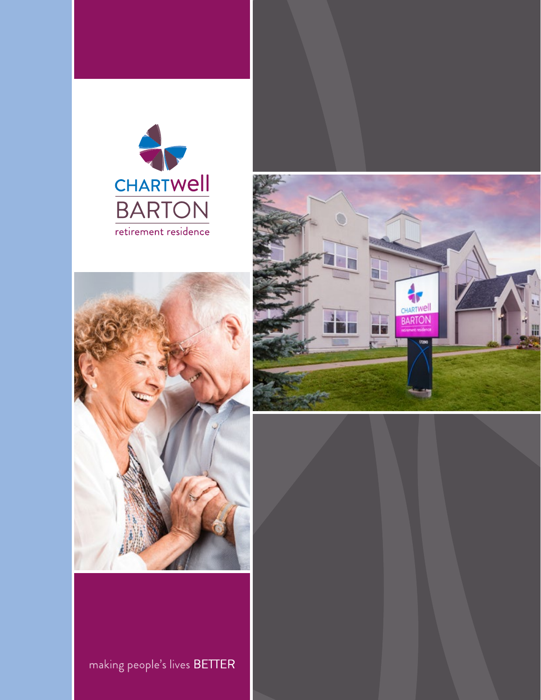





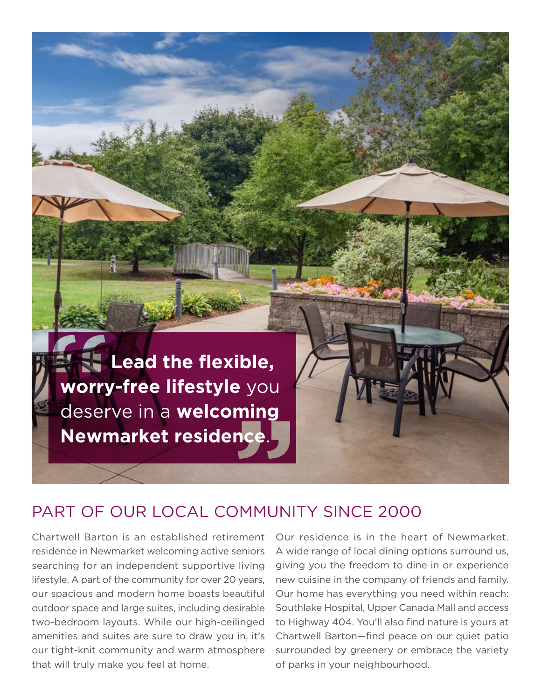

## PART OF OUR LOCAL COMMUNITY SINCE 2000

Chartwell Barton is an established retirement residence in Newmarket welcoming active seniors searching for an independent supportive living lifestyle. A part of the community for over 20 years, our spacious and modern home boasts beautiful outdoor space and large suites, including desirable two-bedroom layouts. While our high-ceilinged amenities and suites are sure to draw you in, it's our tight-knit community and warm atmosphere that will truly make you feel at home.

 A wide range of local dining options surround us, of parks in your neighbourhood. Our residence is in the heart of Newmarket. giving you the freedom to dine in or experience new cuisine in the company of friends and family. Our home has everything you need within reach: Southlake Hospital, Upper Canada Mall and access to Highway 404. You'll also fnd nature is yours at Chartwell Barton—fnd peace on our quiet patio surrounded by greenery or embrace the variety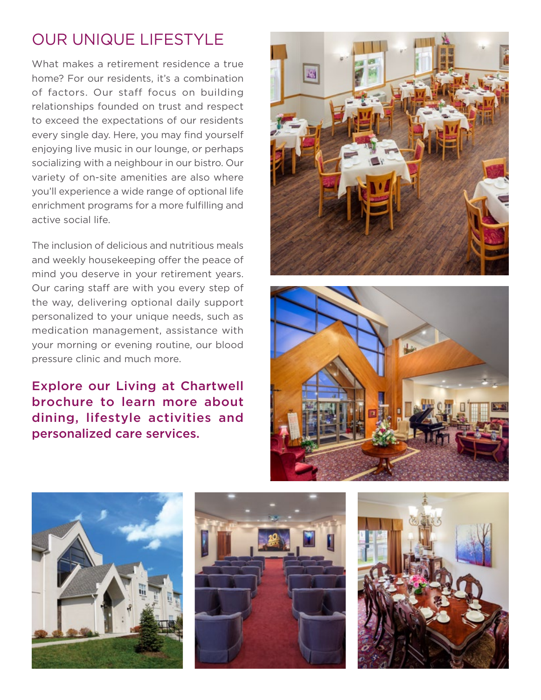# OUR UNIQUE LIFESTYLE

active social life. What makes a retirement residence a true home? For our residents, it's a combination of factors. Our staff focus on building relationships founded on trust and respect to exceed the expectations of our residents every single day. Here, you may find yourself enjoying live music in our lounge, or perhaps socializing with a neighbour in our bistro. Our variety of on-site amenities are also where you'll experience a wide range of optional life enrichment programs for a more fulflling and

The inclusion of delicious and nutritious meals and weekly housekeeping offer the peace of mind you deserve in your retirement years. Our caring staff are with you every step of the way, delivering optional daily support personalized to your unique needs, such as medication management, assistance with your morning or evening routine, our blood pressure clinic and much more.

Explore our Living at Chartwell brochure to learn more about dining, lifestyle activities and personalized care services.









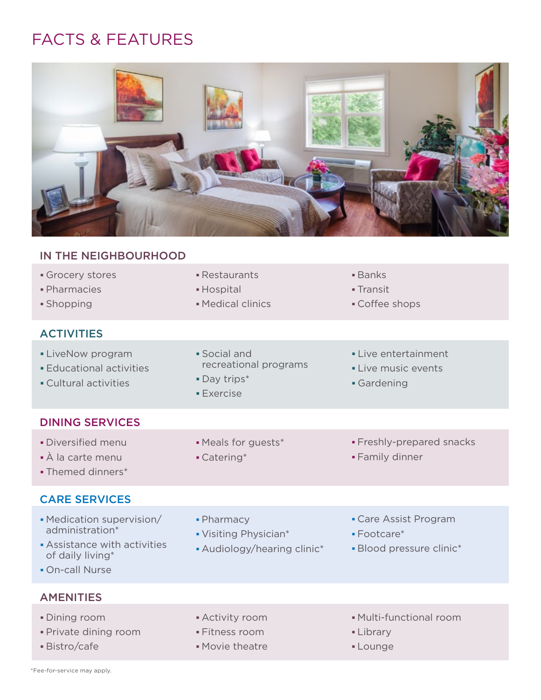# FACTS & FEATURES



### IN THE NEIGHBOURHOOD

- **Pharmacies Communist Communist Communist Communist Communist Communist Communist Communist Communist Communist**
- 

#### **ACTIVITIES**

- 
- 
- 
- 
- LiveNow program 
Social and 
Live entertainment • Educational activities **Educational example 2** recreational programs **E** Live music events
- Cultural activities **Cultural activities Gardening** 
	- **Exercise**
- Restaurants **Banks** 
	-
- **Shopping Medical clinics** Shopping Coffee shops
	-
	-
	-

#### DINING SERVICES

- Diversified menu  **Meals for guests\*** Freshly-prepared snacks
- À la carte menu Catering\* Family dinner
- Themed dinners\*

#### CARE SERVICES

- Medication supervision/ Pharmacy Care Assist Program administration\* Visiting Physician\* Footcare\*
- Assistance with activities  $A$ udiology/hearing clinic<sup>\*</sup> Plood pressure clinic<sup>\*</sup> of daily living<sup>\*</sup>
- On-call Nurse

- 
- 
- 
- 
- 
- 

#### **AMENITIES**

- 
- Private dining room Fitness room Fitness room Library
- 
- 
- 
- Bistro/cafe Movie theatre **Lounge**
- Dining room Activity room Multi-functional room
	-
	-